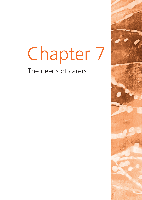# Chapter 7 The needs of carers

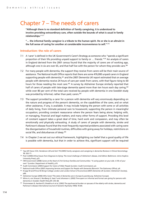# Chapter 7 – The needs of carers

**"Although there is no standard definition of family caregiving, it is understood to involve providing extraordinary care, often outside the bounds of what is usual in family relationships."** <sup>377</sup>

**"… the informal family caregiver is a tribute to the human spirit. He or she is an altruist in the full sense of caring for another at considerable inconvenience to self."** <sup>378</sup>

# **Introduction: the role of carers**

- 7.1 A 'carer' is defined in the UK Government's Carer's Strategy as someone who "spends a significant proportion of their life providing unpaid support to family or … friends."379 An analysis of carers in England derived from the 2001 census found that the majority of carers are of working age, although one in six are over 65, and that half live with the person for whom they provide care.<sup>380</sup>
- 7.2 For many people with dementia, the support they receive from carers will be their main source of assistance. The National Audit Office reports that there are some 476,000 unpaid carers in England supporting people with dementia,<sup>381</sup> and the 2007 *Dementia UK* report estimated that on average people with dementia receive 24 hours of care per week from carers, with that figure rising to 60 hours for those needing the most care.<sup>382</sup> A survey by Alzheimer Europe similarly reported that half of carers of people with late-stage dementia spend more than ten hours each day caring,<sup>383</sup> while over 80 per cent of the total care received by people with dementia in one Swedish study was provided by informal, rather than paid, carers.<sup>384</sup>
- 7.3 The support provided by a carer for a person with dementia will vary enormously depending on the nature and progress of the person's dementia, on the capabilities of the carer, and on what other assistance, if any, is available. It may include helping the person with some or all activities of daily living, from intimate personal care to housework; supporting the person in meaningful occupation; providing constant reassurance where the person fears being alone; helping with, or managing, financial and legal matters; and many other forms of support. Providing this level of constant support takes a great deal of time, hard work and compassion, and may often be emotionally and physically exhausting. A study of carers of people with dementia, stroke and Parkinson's disease found that the most frequently reported problems associated with caring were the disorganisation of household routines, difficulties with going away for holidays, restrictions on social life, and disturbances of sleep.<sup>385</sup>
- 7.4 In Chapter 2 we set out our ethical framework, highlighting our belief that a good quality of life is possible with dementia, but that in order to achieve this, significant support will be required

<sup>&</sup>lt;sup>377</sup> Yap LKP, Seow CCD, Henderson LM and Goh YN (2005) Family caregivers and caregiving in dementia *Reviews in Clinical Gerontology* **15**: 263–71.

<sup>378</sup> Post S (2000) *Ethical Issues from Diagnosis to Dying: The moral challenge of Alzheimer's disease*, 2nd Edition (Baltimore: Johns Hopkins University Press), p25.

<sup>&</sup>lt;sup>379</sup> HM Government (2008) *Carers at the Heart of 21st Century Families and Communities: "A caring system on your side. A life of your own"* (London: Department of Health), p19.

<sup>380</sup> Audit Commission (2004) *Support for Carers of Older People* (London: Audit Commission), p2.

<sup>&</sup>lt;sup>381</sup> National Audit Office (2007) Improving Services and Support for People with Dementia (Norwich: The Stationery Office), p9.

<sup>382</sup> Knapp M and Prince M (King's College London and London School of Economics) (2007) *Dementia UK* (London: Alzheimer's Society), p66.

<sup>383</sup> Alzheimer Europe (2006) *Who Cares? The state of dementia care in Europe* (Luxembourg: Alzheimer Europe).

<sup>384</sup> Wimo A, von Strauss E, Nordberg G, Sassi F and Johansson L (2002) Time spent on informal and formal care giving for persons with dementia in Sweden *Health Policy* **61**: 255*–*68.

<sup>385</sup> Thommessen B, Aarsland D, Braekhus A *et al*. (2002) The psychosocial burden on spouses of the elderly with stroke, dementia and Parkinson's disease *International Journal of Geriatric Psychiatry* **17(1)**: 78–84.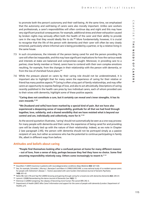to promote both the person's autonomy and their well-being. At the same time, we emphasised that the autonomy and well-being of carers were also morally important. Unlike care workers and professionals, a carer's responsibilities will often continue day and night and this may have very significant practical consequences: for example, additional stress and sheer exhaustion caused by broken nights may seriously affect both the health of the carer and their ability to provide care in the way that they would ideally like to do. $386$  More fundamentally, however, it is crucial to recognise that the life of the person with dementia and their carer will often be very closely entwined, particularly where informal care is being provided by a partner, or by a relative living in the same house.

- 7.5 In such circumstances, the interests of the person being cared for and the person providing the care will often be inseparable, and this may have significant implications for how the various needs and interests at stake are balanced and compromises sought. Moreover, in providing care to a partner, close family member or friend, carers have to contend with their own complex emotions resulting, for example, from the changes in their relationship with the person with dementia, or from the loss of cherished future plans.<sup>387</sup>
- 7.6 While the pressure placed on carers by their caring role should not be underestimated, it is important also to highlight that for many carers the experience of caring for their relative or friend has many positive aspects.388 Caring is often a key part of family relationships, and may offer carers an opportunity to express feelings of love, and also to act altruistically. Descriptions of caring recently published in the health care press by two individual carers, each of whom provided care to their wives with dementia, highlight some of these positive aspects:

**"Caring does not constitute a cure, but it certainly can reveal one's inner strengths. It has its own rewards."** <sup>389</sup>

**"We [husband and wife] have been marked by a special kind of pain. But we have also experienced a deepening sense of responsibility, gratitude for all that we had lived through together, love, solidarity, and a shared sensibility that we have resisted what is beyond our control and are, individually and collectively, more for it."** <sup>390</sup>

As the second quotation illustrates, 'caring' should not automatically be seen as a one-way process: for many people with dementia and their carers, the experience of being cared for and providing care will be closely tied up with the nature of their relationship. Indeed, as we note in Chapter 2 (see paragraph 2.45), the person with dementia should not be portrayed simply as a passive recipient of care, but rather as someone who has the potential to continue participating in family life, albeit in different ways from before.

### **Attitudes and beliefs about caring**

**"People find themselves looking after a confused person at home for many different reasons – out of love, from a sense of duty, perhaps because they feel they have no choice. Some find assuming responsibility relatively easy. Others come increasingly to resent it."** <sup>391</sup>

<sup>389</sup> Lamont J (2008) Remembering the dance *Journal of Dementia Care* **16(2)**: 11.

<sup>386</sup> Dauvilliers Y (2007) Insomnia in patients with neurodegenerative conditions *Sleep Medicine* **8(4)**: S27–S34.

<sup>387</sup> See, for example, Schneider J, Murray J, Banerjee S and Mann A (1999) EUROCARE: a cross-national study of co-resident spouse carers for people with Alzheimer's disease: I – Factors associated with carer burden *International Journal of Geriatric Psychiatry* **14(8)**: 651–61.

<sup>388</sup> Netto NR, Goh JYN and Yap PLK (2009) Growing and gaining through caring for a loved one with dementia *Dementia* **8(2)**: 245–61.

<sup>390</sup> Kleinman A (2009) Caregiving: the odyssey of becoming more human *The Lancet* **373**: 292–3.

<sup>&</sup>lt;sup>391</sup> Department of Health (2007) *Who Cares? Information and support for the carers of people with dementia* (London: Department of Health), p15.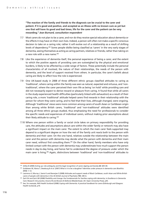**"The reaction of the family and friends to the diagnosis can be crucial to the carer and patient. If it is good and positive, and accepted as an illness with no known cure as yet but one that will have its good and bad times, life for the carer and the patient can be very rewarding."** *Jean Burnard, consultation respondent*

- 7.7 Most carers do not plan to be a carer, and nor do they receive special education about dementia or the effects it may have on their own lives. Indeed, a person will often not make a specific conscious decision to take on a caring role; rather it will evolve out of a relationship as a result of shifting levels of dependency.392 Some people dislike being classified as 'carers' in the very early stages of dementia, seeing themselves as acting as caring partners, relatives or friends, rather than taking on a new role with a new name. $393$
- 7.8 Like the experience of dementia itself, the personal experience of being a carer, and the extent to which the positive aspects of providing care are outweighed by the physical and emotional burdens, is likely to be affected by a wide range of factors. These potentially include the personal characteristics of all involved, the nature of their relationships, the needs of the person with dementia, and the level of support received from others. In particular, the carer's beliefs about caring are likely to affect how the role is experienced.
- 7.9 One UK-based study in 2008 of three different ethnic groups classified attitudes to caring as 'traditional', where caring within the family was seen as natural, expected and virtuous, and 'nontraditional', where the carer perceived their own life as being 'on hold' while providing care and did not necessarily expect to derive reward or pleasure from caring. It found that while all carers in the study experienced health difficulties (particularly linked with exhaustion) as a result of their caring role, a more 'traditional' attitude helped carers find rewards in their relationship with the person for whom they were caring, and to feel that their lives, although changed, were ongoing. Although 'traditional' views were more common among carers of south Asian or Caribbean origin than among white British carers, 'traditional' and 'non-traditional' attitudes were identified among all three ethnic groups studied, thus emphasising the need for professionals to consider the specific needs and experiences of individual carers, without making prior assumptions about their likely attitude to caring.394
- 7.10 Where one person within a family or social circle takes on primary responsibility for providing care, the attitudes and assumptions about care within the wider family or network may also have a significant impact on the main carer. The extent to which the main carer feels supported may depend to a significant degree on how the rest of the family unit reacts both to the person with dementia and their carer. On the one hand, relatives outside the relationship between the main carer and the person with dementia may decide what the person with dementia and their main carer need, without first consulting them.<sup>395</sup> On the other hand, family members who have only limited contact with the person with dementia may underestimate how much support the person needs in day-to-day living, and hence fail to understand the degree of pressure under which the main carer is living.396 Again, distinctions between 'traditional' and 'non-traditional' attitudes to

<sup>392</sup> Gillies B (2000) Acting up: role ambiguity and the legal recognition of carers *Ageing and Society* **20**: 429–44.

<sup>393</sup> Goldsteen M, Abma T, Oeseburg B *et al*. (2007) What is it to be a daughter? Identities under pressure in dementia care *Bioethics* **21(1)**: 1–12.

<sup>&</sup>lt;sup>394</sup> Lawrence V, Murray J, Samsi K and Baneriee S (2008) Attitudes and support needs of Black Caribbean, south Asian and White British carers of people with dementia in the UK *British Journal of Psychiatry* **193**: 240*–*6.

<sup>395</sup> Zarit SH and Zarit JM (2008) Flexibility and change: the fundamentals for families coping with dementia, in *Excellence in Dementia Care: Research into practice*, Downs M and Bowers B (Editors) (Maidenhead, UK: Open University Press), p93.

<sup>396</sup> See, for example, NHS Health Scotland (2008) *Coping with Dementia: A practical handbook for carers* (Edinburgh and Glasgow: Health Scotland), p19.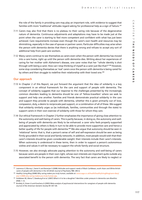the role of the family in providing care may play an important role, with evidence to suggest that families with more 'traditional' attitudes regard asking for professional help as a sign of failure.<sup>397</sup>

- 7.11 Carers may also find that there is no plateau to their caring role because of the degenerative nature of dementia. Continuous adjustments and adaptations may have to be made just at the point when the carer is starting to feel more competent and confident with what has just been achieved. Care requirements increase even though the carer's own health and resources may be diminishing, especially in the case of spouse or partner carers. Particular difficulties may arise when the person with dementia denies that there is anything wrong and refuses to accept any sort of additional help from paid care workers.
- 7.12 Many carers continue to see themselves as carers even when the person with dementia has moved into a care home, right up until the person with dementia dies. Writing about her experiences of caring for her mother with Alzheimer's disease, one carer notes that her "whole identity is shot through with being a carer. How can I stop thinking of myself as a carer just like that?"<sup>398</sup> However, some stop considering themselves as 'real' carers once the person with dementia is being cared for by others and then struggle to redefine their relationship with their loved one.<sup>399</sup>

## **Our approach**

- 7.13 In Chapter 2 of this Report, we put forward the argument that the idea of solidarity is a key component in an ethical framework for the care and support of people with dementia. The concept of solidarity suggests that our response to the challenges presented by the increasingly common disorders leading to dementia should be one of 'fellow-travellers' where we seek to support and help one another. Families and friends demonstrate practical solidarity in the care and support they provide to people with dementia, whether this is given primarily out of love, compassion, duty, a desire to reciprocate past support, or a combination of all of these. We suggest that solidarity similarly urges us (as individuals, families, communities and through the state) to support carers in their own exercise of solidarity with those for whom they care.
- 7.14 Our ethical framework in Chapter 2 further emphasises the importance of giving close attention to the autonomy and well-being of carers. This is partly because, in doing so, the autonomy and wellbeing of people with dementia are likely to be enhanced: a carer who feels properly supported and appreciated by others is likely in turn to be able to provide more supportive care and hence a better quality of life for people with dementia.<sup>400</sup> We also arque that autonomy should be seen in 'relational' terms: that is, that a person's sense of self and self-expression should be seen as being firmly grounded in their social and family networks. In addition, most people would wish that their carer's interests should be given considerable weight: their interests include their carer's interests. When autonomy is understood in these terms, then in order to support a person's autonomous wishes and values it will be necessary to support the whole family and social structure.
- 7.15 However, we also strongly advocate paying attention to the autonomy and well-being of carers because carers are people in their own right, whose own interests are important quite outside any associated benefit to the person with dementia. The very fact that carers are likely to neglect or

<sup>397</sup> Lawrence V, Murray J, Samsi K and Banerjee S (2008) Attitudes and support needs of Black Caribbean, south Asian and White British carers of people with dementia in the UK *British Journal of Psychiatry* **193**: 240*–*6.

<sup>&</sup>lt;sup>398</sup> Healthy Living Blog (2008) Why caring makes you truly human, available at: [www.saga.co.uk/health/healthyliving/blog/carer-diary/](www.saga.co.uk/health/healthyliving/blog/carer-diary/july-3-2008-why-caring-makes-you-truly-human.asp) [july-3-2008-why-caring-makes-you-truly-human.asp](www.saga.co.uk/health/healthyliving/blog/carer-diary/july-3-2008-why-caring-makes-you-truly-human.asp).

<sup>399</sup> Goldsteen M, Abma T, Oeseburg B *et al*. (2007) What is it to be a daughter? Identities under pressure in dementia care *Bioethics* **21(1)**: 1–12.

<sup>400</sup> Brodaty H, Green A and Koschera A (2003) Meta-analysis of psychosocial interventions for caregivers of people with dementia *Journal of the American Geriatric Society* **51**: 657–64.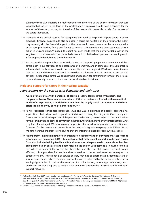even deny their own interests in order to promote the interests of the person for whom they care suggests that society, in the form of the professionals it employs, should have a concern for the interests of the carers, not only for the sake of the person with dementia but also for the sake of the carers themselves.

- 7.16 Alongside these ethical reasons for recognising the need to help and support carers, a purely pragmatic financial point should also be noted: if carers did not take on their roles to the extent they currently do, the financial impact on the state would be enormous, as the monetary value of the care provided by family and friends to people with dementia has been estimated at £5.4 billion in England alone.<sup>401</sup> Indeed, the point has been made that the only affordable way in the long term to provide care for people with dementia in both the developed and developing world is for support to be delivered through carers.<sup>402</sup>
- 7.17 We discussed in Chapter 4 how as individuals we could support people with dementia and their carers, both in our attitudes to and acceptance of dementia, and in some cases through practical voluntary help to those we know in our community who need support. We discuss below the role that the state and the voluntary sector, as providers and funders of health and social care services, can play in supporting carers. We consider help and support for carers first in terms of their role as carer and secondly in terms of their own personal needs as individuals.

# **Help and support for carers in their caring capacity**

### *Joint support for the person with dementia and their carer*

**"Caring for a relative with dementia, of course, presents family carers with specific and complex problems. These can be exacerbated if their experience is framed within a medical model of care provision, a model which redefines the largely social consequences and which offers little in the way of helpful information."** <sup>403</sup>

- 7.18 As we suggested earlier (see paragraphs 3.22 and 7.5), a diagnosis of possible dementia has implications that extend well beyond the individual receiving the diagnosis. Close family and friends, and especially the partner of the person with dementia, have to adjust to the ramifications for their own lives and come to terms with a shared future which may be very different from what they had all envisaged. We have already emphasised the need for appropriate information and follow-up for the person with dementia at the point of diagnosis (see paragraphs 3.25–3.29) and we note here the importance of ensuring that the information needs of carers, too, are met.
- 7.19 **An important implication both of our emphasis on solidarity and of our 'relational' approach to autonomy (see paragraph 7.14) is to emphasise that professional support should have a wide focus that includes helping family and friends to support the person with dementia, rather than being limited to an exclusive and direct focus on the person with dementia.** In much of medical care where people's ability to care for themselves and their mental capacity are not greatly affected, it is appropriate for health and social services to be focused almost exclusively on the patient or client. These models of service delivery may not be appropriate in dementia care, at least at some stages, where the major part of the care is delivered by the family or other carers. We highlight in Box 7.1 below the example of Admiral Nurses, whose approach is very much predicated on providing care to people with dementia *through* their existing family and other support networks.

<sup>401</sup> National Audit Office (2007) *Improving Services and Support for People with Dementia* (London: The Stationery Office), p9.

<sup>402</sup> See, for example, Ferri PF, Prince M, Brayne C *et al*. (2005) Global prevalence of dementia: a Delphi consensus study *The Lancet*

**<sup>366</sup>**: 2112–7; Zaida A (2008) *Features and Challenges of Population Ageing: The European perspective* Policy Brie**f March (1)** (Vienna: European Centre for Social Welfare Policy and Research).

<sup>403</sup> Gillies B (2000) Acting up: role ambiguity and the legal recognition of carers *Ageing and Society* **20**: 429–44.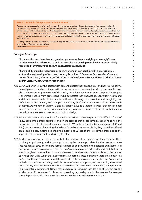#### **Box 7.1: Example from practice – Admiral Nurses**

Admiral Nurses are specialist mental health nurses who have experience in working with dementia. They support and work in partnership with people with dementia, their families, and their social networks. Admiral Nurses focus on working with carers, providing them with practical advice, emotional support and information. They visit carers and people with dementia in their own homes for as long as they are needed, working with carers throughout the duration of the person with dementia's illness. Admiral Nurses also deliver education and training in dementia care, and provide consultancy services to professionals working with people with dementia.

Currently, Admiral Nurses operate in certain areas of England, including London, Kent, North East Lincolnshire, the West Midlands and the North West, and in North Wales.

**More information:** 

### *Care partnerships*

**"In dementia care, there is much greater openness with carers (rightly or wrongly) than in other mental health contexts, and the need for partnership with family carers is widely recognised."** *Professor Bob Woods, consultation respondent*

**"Carers' skills must be recognised as such, working in partnership with a professional … so that the relationship of trust and honesty is built up."** *Dementia Services Development Centre (South East), Canterbury Christ Church University (Mrs Penny Hibberd, Admiral Nurse/ Senior Lecturer), consultation respondent*

- 7.20 Carers will often know the person with dementia better than anyone else, and hence are likely to be well placed to advise on their particular support needs. However, they do not necessarily know about the nature or progression of dementia, nor what care interventions are possible. Support is therefore needed from professionals who do possess such knowledge. Conversely, health and social care professionals will be familiar with care planning, care provision and caregiving, but unfamiliar, at least initially, with the personal history, preferences and values of the person with dementia. As we note in Chapter 3 (see paragraph 3.12), it is therefore crucial that professionals and carers work together in genuine partnership, in order to ensure that people with dementia benefit from their joint expertise and joint knowledge.
- 7.21 Such a 'care partnership' should be founded on a basis of mutual respect for the different forms of knowledge of the different parties, and on the premise that all concerned are seeking to help the person live as well with their dementia as possible. We note in Chapter 3 (see paragraphs 3.30 and 3.31) the importance of ensuring that where formal services are available, they should be offered on a flexible basis, matched to the actual needs and wishes of those receiving them and to the support that carers are able and willing to offer.
- 7.22 As dementia progresses, the needs of both the person with dementia and their carer are likely to change significantly, and at some point it may become appropriate for the person to move into residential care, or for more formal support to be provided in the person's own home. It is imperative in such circumstances that the carer's continuing role is acknowledged, and that carers should be given opportunities to sustain whatever input they are able to contribute to the care for as long as they wish. When the level of formal support increases in this way, there should never be an 'all or nothing' assumption about the carer's desire to be involved or ability to cope. Some carers will wish to continue providing particular forms of care and support, such as washing their loved one's clothes, or taking in favourite food, even where the person with dementia is being cared for in a residential environment. Others may be happy to relinquish such tasks to others, but are still a rich source of information for those now providing day-to-day care for the person – for example through providing 'life-story books' to accompany the person into residential care.

119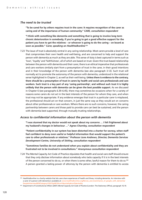# *The need to be trusted*

**"To be cared for by others requires trust in the carer. It requires recognition of the carer as caring and of the importance of human community."** *CARE, consultation respondent*

**"I think with something like dementia and something that is going to involve long term chronic deterioration in somebody, if you're going to get a good effective support for the patient you have to get the relatives – or whoever is going to do the caring – on board as soon as possible."** *Carer, speaking on Healthtalkonline*<sup>404</sup>

7.23 The issue of trust is absolutely central in any caring relationship. Most carers provide a level of care that compromises their own health and well-being, and are concerned to help and support the person with dementia as much as they are able. This sense of duty is best captured in terms such as 'love', 'loyalty' and 'faithfulness', all of which are based on trust. Given this trust-based relationship between the person with dementia and their carer, there is an ethical imperative that professionals and care workers similarly start from a presumption of trust in the carer, in their good intentions and in their knowledge of the person with dementia (see also paragraph 3.12). Such trust will normally act to promote the autonomy of the person with dementia, understood in the relational sense highlighted in Chapter 2, as well as their well-being. **Unless there is evidence to the contrary, there should be a presumption of trust in carers by health and social care professionals and care workers. Such trust is a key part of any 'caring partnership', and without such trust it is highly unlikely that the person with dementia can be given the best possible support.** As we discussed in Chapter 6 (see paragraphs 6.39–6.45), there may sometimes be occasions when for a variety of reasons some carers do not act in the best interests of the person for whom they care, and when trust may not be appropriate. If any evidence emerges that trust in a particular carer is misplaced, the professional should act on that concern, in just the same way as they would act on concerns about other professionals or care workers. Where there are no such concerns, however, the caring partnership between carers and those paid to provide care can best be sustained, and the person with dementia best supported, through mutually trusting relationships.

### *Access to confidential information about the person with dementia*

**"I was stunned that my doctor would not speak about my concerns … I felt frightened about my husband's changes in behaviour …"** *Agnes Charnley, consultation respondent*

**"Patient confidentiality in our system has been distorted into a charter for secrecy, when staff feel confident to deny even useful or helpful information that would support the patient's care to other professionals or relatives."** *Professor June Andrews, Director, Dementia Services Development Centre, University of Stirling, consultation respondent*

**"Sometimes families do not understand when you explain about confidentiality and they are frustrated not to be involved in consultations."** *Anonymous consultation respondent*

7.24 The Mental Capacity Act Code of Practice stipulates that health and social care staff should ensure that they only disclose information about somebody who lacks capacity if it is in the best interests of the person concerned to do so, or when there is some other, lawful reason for them to do so.<sup>405</sup> A person granted a lasting power of attorney by the person with dementia is entitled to access

<sup>404</sup> Healthtalkonline is a charity website that lets users share experiences of health and illness, including dementia. An interview with a carer of a person with dementia is available at: [www.healthtalkonline.org/Nerves\\_and\\_brain/Carers\\_of\\_people\\_with\\_dementia/](www.healthtalkonline.org/Nerves_and_brain/Carers_of_people_with_dementia/People/Interview/829/Category/102/Clip/4010/confidentiality#confidentiality) [People/Interview/829/Category/102/Clip/4010/confidentiality#confidentiality.](www.healthtalkonline.org/Nerves_and_brain/Carers_of_people_with_dementia/People/Interview/829/Category/102/Clip/4010/confidentiality#confidentiality)

<sup>405</sup> Department of Constitutional Affairs (2007) *Mental Capacity Act Code of Practice* (London: The Stationery Office), paragraph 16.19.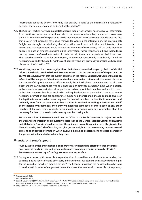information about the person, once they lack capacity, as long as the information is relevant to decisions they are able to make on behalf of the person.<sup>406</sup>

- 7.25 The Code of Practice, however, suggests that carers should not normally need to receive information from health and social care professionals about the person for whom they care, as such carers have their own knowledge of the person to guide their decisions. The Code notes that, despite the fact that a carer "will probably have good motives for wanting the information", the professionals "might feel strongly that disclosing the information would not be in the best interests of the person who lacks capacity and would amount to an invasion of their privacy."407 The Code therefore appears to place an emphasis on withholding information, rather than sharing it, and fails to focus on why carers *could* need information in order to help them care properly for their loved one. The Scottish Code of Practice for professionals, on the other hand, simply states briefly: "It will be necessary to consider the adult's right to confidentiality and any previously expressed wishes about disclosure of information "408
- 7.26 **We strongly support the current legal position that when a person lacks capacity, their confidential information should only be disclosed to others where it is in the best interests of the person to do so. We believe, however, that the current guidance in the Mental Capacity Act Code of Practice on**  *when* **it will be in a person's best interests to share information is too restrictive.** As we discuss in the context of diagnosis, dementia affects not only the individual with dementia, but also all those close to them, particularly those who take on the role of carer (see paragraph 3.22). When a person with dementia lacks capacity to make a particular decision about their health or welfare, it is clearly in their best interests that those involved in making the decision on their behalf have access to the necessary information and are appropriately supported. **Professionals should be made aware of the legitimate reasons why carers may ask for medical or other confidential information, and ordinarily start from the assumption that if a carer is involved in making a decision on behalf of the person with dementia, then they will need the same level of information as any other member of the care team. In short, carers should be provided with any information that it is necessary for them to know in order to carry out their caring role.**

**Recommendation 14: We recommend that the Office of the Public Guardian, in conjunction with the Department of Health and regulatory bodies such as the General Medical Council and Nursing and Midwifery Council, should reconsider the guidance on confidentiality currently given in the Mental Capacity Act Code of Practice, and give greater weight to the reasons why carers may need access to confidential information when involved in making decisions as to the best interests of the person with dementia for whom they care.**

# *Financial and social support*

**"Adequate financial and emotional support for carers should be offered to ease the stress and financial hardship incurred when looking after a person who is chronically ill."** *AAC Research Unit, University of Stirling, consultation respondent*

7.27 Caring for a person with dementia is expensive. Costs incurred by carers include factors such as lost earnings, paying for respite and other care, and investing in adaptations and assistive technologies for the individual for whom they are caring.409 The financial impact on the household may be even more dramatic in cases of early-onset dementia where the person with dementia is the primary

<sup>406</sup> *Ibid*, paragraph 16.9.

<sup>407</sup> *Ibid*, paragraph 16.30.

<sup>408</sup> Scottish Government (2007) *Adults with Incapacity (Scotland) Act 2000 Code of Practice: For persons authorised to carry out medical treatment or research under Part 5 of the Act* (Edinburgh: The Scottish Government), paragraph 1.6.7.

<sup>&</sup>lt;sup>409</sup> See paragraphs 6.5 to 6.12 for discussion on assistive technologies.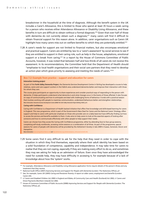breadwinner in the household at the time of diagnosis. Although the benefit system in the UK includes a Carer's Allowance, this is limited to those who spend at least 35 hours a week caring for a person who receives either Attendance Allowance or Disability Living Allowance, and these benefits in turn are difficult to obtain without a formal diagnosis.410 Given that over half of those with dementia do not currently obtain such a diagnosis,<sup>411</sup> many carers will find it difficult to obtain financial support for this reason alone. In addition, carer organisations such as Carers UK highlight how many carers miss out on welfare benefits to which they are potentially entitled.<sup>412</sup>

7.28 A carer's needs for support are not limited to financial matters, but also encompass emotional and practical support. Carers are entitled by law to a 'carer's assessment' by social services to see if they are entitled to support in their caring role, such as help in the house, adaptations, emotional support or a break from caring.<sup>413</sup> In a report by the House of Commons Committee of Public Accounts, however, it was noted that between half and two-thirds of all carers do not receive this assessment. In its recommendations, the Committee held that the Department of Health should "emphasise to local health organisations and their social care partners that they need to develop an action plan which gives priority to assessing and meeting the needs of carers."414

#### **Box 7.2: Example from practice – support and education for carers**

#### **Interaction training project**

As part of the **Forth Valley Dementia Project**, the Dementia Services Development Centre in Stirling has developed a course to help relatives, carers and care support workers in the Falkirk area understand dementia better and improve their interaction with those for whom they care.

The course gives participants an opportunity to share experiences and consider practical ways of responding to the person with dementia. It helps participants understand what dementia is and what changes occur in the brains of those affected. It also focuses on ways of communicating and how to anticipate and deal with challenging forms of behaviour. It ends with a practical session that involves working with people to maximise communication, understand behaviours better and strengthen relationships. **More information: Dementia Services Development Centre (2008)** *The Forth Valley Dementia Project* **(Stirling: DSDC), p13.**

#### **Caring with Confidence**

Caring with Confidence is a Department of Health backed initiative that offers free knowledge and skills-based learning for carers in England. This new programme, which is part of the Government's New Deal for Carers and the National Carers' Strategy, offers support and help to carers with particular emphasis on those who provide care on a daily basis but have difficulty finding out how to access the services and benefits available to them. It also aims to help carers to look at the essential aspects of looking after someone and how to communicate effectively with other people to help support their needs.

Carers can choose how they access the Caring with Confidence programme, either by attending face-to-face group sessions, completing self-study workbooks, accessing online sessions or a combination of all three. As part of the programme, special sessions for carers of people with dementia will be provided by the Alzheimer's Society in late 2009 in Sussex, Somerset, Devon and Hampshire.

**More information:** <www.caringwithconfidence.net/> and

7.29 Some carers find it very difficult to ask for the help that they need in order to cope with the situation in which they find themselves, especially where their adult identity has been based on a solid foundation of competence, capability and independence. It may take time for carers to realise that they are not coping, especially if they are making every effort to do so, and sometimes they may see asking for help as an admission of failure. Even once they have acknowledged the need for outside help, they may have difficulty in accessing it, for example because of a lack of knowledge about how the 'system' works.

<sup>410</sup> For example, Attendance Allowance and Disability Living Allowance application forms require details of the person's illness and any treatment that they receive.

<sup>411</sup> National Audit Office (2007) *Improving Services and Support for People with Dementia* (London: The Stationery Office), p7.

<sup>412</sup> See, for example, Carers UK (2005) *Caring and Pensioner Poverty: A report on older carers, employment and benefits* (London: Carers UK).

<sup>413</sup> s1 Carers and Disabled Children Act 2000 in England and Wales; s9 Community Care and Health (Scotland) Act 2002; s1 Carers and Direct Payments (Northern Ireland) Act 2002.

<sup>414</sup> House of Commons Committee of Public Accounts (2008) *Improving Services and Support for People with Dementia* (London: The Stationery Office), p5.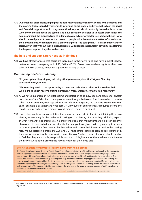**C H A P T E R 7**

 $\cap$  $\pm$  $\triangleright$  $\overline{\mathbf{v}}$  $\rightarrow$  $\overline{\rm cm}$  $\overline{z}$  $\overline{\phantom{0}}$ 

 $\overline{a}$ **h e n e e d s o f**  $\Omega$ **a r e r s**

7.30 **Our emphasis on solidarity highlights society's responsibility to support people with dementia and their carers. This responsibility extends to informing carers, openly and systematically, of the social and financial support to which they are entitled: support should not only be available to those who know enough about the system and have sufficient persistence to assert their rights. We again commend the proposed role of a dementia care adviser or similar (see paragraph 3.27) who should be well placed to ensure that carers of people with dementia are better informed about their entitlements. We reiterate that a timely diagnosis (see paragraph 3.18) is also important for carers, given that without such a diagnosis carers will experience significant difficulty in obtaining the help and support they themselves need.**

### **The help and support carers need as individuals**

7.31 We have already argued that carers are individuals in their own right, and have a moral right to be treated as such (see paragraphs 2.40, 2.41 and 7.15). Carers therefore have rights for their own sake, and also, crucially, a need for support in a variety of areas.

#### *Maintaining one's own identity*

**"[I] gave up teaching, singing, all things that gave me my identity."** *Agnes Charnley, consultation respondent*

**"Those caring need … the opportunity to meet and talk about other topics, so that their whole life does not revolve around dementia."** *Hazel Simpson, consultation respondent*

- 7.32 As we noted in paragraph 7.7, it takes time and reflection to acknowledge and assume for oneself both the 'role' and 'identity' of being a carer, even though that role or function may be obvious to others. Some carers may even reject their 'carer' identity altogether, and continue to see themselves as, for example, a daughter and not a carer.<sup>415</sup> Many types of adjustments are required before one can do so, especially where a diagnosis of dementia is delayed or absent.
- 7.33 It was also clear from our consultation that many carers face difficulties in maintaining their *own* identity when caring for their relative: in taking on the identity of a carer they risk losing aspects of what it meant to be themselves. It is therefore crucial that mechanisms are in place in order to allow carers to hold on to their own identity, for example through access to regular respite services in order to give them free space to be themselves and pursue their interests outside their caring role. We suggested in paragraphs 7.20 and 7.21 that carers should be seen as 'care partners' in their role of supporting the person with dementia. As a 'partner' in care, the carer should be able to feel that they are not solely responsible, and that it is legitimate for them to have some time to themselves while others provide the necessary care for their loved one.

#### **Box 7.3: Example from practice – Falkirk 'home from home' service**

The 'home from home' service is part of Falkirk Council's Joint Dementia Initiative (JDI) and involves individuals in the community welcoming people with dementia into their homes on either one or two days a week. People with dementia (living on their own or living with carers) are collected by the home owner or a member of the JDI staff and taken to the person's home. The people with dementia then spend the day choosing what they would like for meals, helping prepare the meal and carrying out other tasks such as washing the dishes. The focus is on helping people with dementia experience everyday life, from eating meals together to spending time chatting or maybe doing a crossword together, rather than attending a more institutional form of care such as a day centre. The choice of activities is up to those who attend, and the home owner and member of staff have plenty of opportunity to spend time with each person.

**More information available at:** <http://dementia.stir.ac.uk/pdffolder/FVDP-HomeFromHome.pdf>**. Contact details: Joint Dementia Initiative Falkirk Council, telephone: 01324 501730.**

<sup>415</sup> Goldsteen M, Abma T, Oeseburg B *et al*. (2007) What is it to be a daughter? Identities under pressure in dementia care *Bioethics* **21(1)**: 1–12.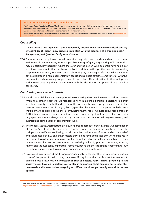#### **Box 7.4: Example from practice – carers' leisure pass**

**The Princess Royal Trust Salford Carers' Centre** is piloting a carers' leisure pass, which gives carers unlimited access to council swimming, gym and leisure facilities. Use of the pass is monitored, and if it is not used for a continuous period of two months, the Carers' Centre is informed and the carer is contacted to check if they are well. **More information: The Princess Royal Trust for Carers (2008)** *Putting People First Without Putting Carers Second* **(Essex: The Princess Royal Trust for Carers), p29, available at:** [http://static.carers.org/](http://static.carers.org/files/putting-people-first-09-individual-pages-4069.pdf) [files/putting-people-first-09-individual-pages-4069.pdf](http://static.carers.org/files/putting-people-first-09-individual-pages-4069.pdf)**.** 

#### *Counselling*

**"I didn't realise I was grieving. I thought you only grieved when someone was dead, and my wife isn't dead! I didn't know grieving could start with the diagnosis of a chronic illness."** *Anonymous participant on family carers' course*

7.34 For some carers, the option of counselling sessions may help them to understand and come to terms with some of their emotions, including possible feelings of quilt, anger and grief.<sup>416</sup> Counselling may be particularly necessary where the carer and the person with dementia have had a past emotional relationship that has been troubled or distant, although the need for counselling support may arise in any long-term caring relationship. By providing a 'safe place' where emotions can be explored in a non-judgmental way, counselling can help carers to come to terms with their own emotions about caring; support them in particular difficult situations in their caring role; and in some cases help them come to terms with the idea that other options of care should be considered.

#### *Considering one's own interests*

- 7.35 It is also essential that carers are supported in considering their *own* interests, as well as those for whom they care. In Chapter 5, we highlighted how, in making a particular decision for a person who lacks capacity to make that decision for themselves, others are legally required to act in that person's 'best interests'. At first sight, this suggests that the interests of the person with dementia should always be placed above those surrounding them. Yet, as we note above (see paragraph 7.14), interests are often complex and intertwined. In a family, it will rarely be the case that a single person's interests always take priority: rather some consideration will be given to everyone's interests and some degree of compromise found.
- 7.36 The Mental Capacity Act reflects this reality in its broad approach to 'best interests'. A determination of a person's best interests is not limited simply to what, in the abstract, might seem best for their personal welfare or well-being, but also includes consideration of factors such as their beliefs and values (see Box 5.2) and other factors they might have taken into account themselves. In many cases this will include strong concern for the welfare of others in their family. Moreover, any determination of a person's 'best interests' is inevitably limited by practical constraints, including finance and the availability of particular forms of support; and there can be no legal or ethical duty to continue caring where this is no longer physically or emotionally viable.
- 7.37 However, it may be very difficult for a carer genuinely to consider their own interests alongside those of the person for whom they care, even if they know that this is what the person with dementia would have wished. **Professionals such as doctors, nurses, clinical psychologists and social workers have an important role to play in supporting carers explicitly to consider their own needs and interests when weighing up difficult decisions, particularly around future care options**.

<sup>416</sup> See, for example, Alzheimer's Society (2008) *Counselling: How can it help?* Factsheet 445 (London: Alzheimer's Society), available at [http://alzheimers.org.uk/factsheet/445;](http://alzheimers.org.uk/factsheet/445) Gibson J (2009) Living with loss *Mental Health Practice* **12(5)**: 22–4.